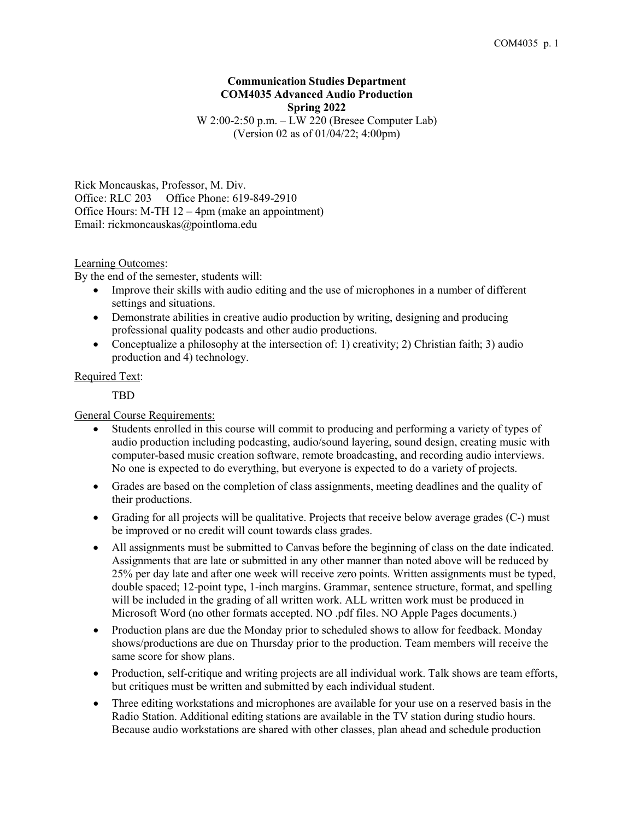# **Communication Studies Department COM4035 Advanced Audio Production Spring 2022** W 2:00-2:50 p.m. – LW 220 (Bresee Computer Lab)

(Version 02 as of 01/04/22; 4:00pm)

Rick Moncauskas, Professor, M. Div. Office: RLC 203 Office Phone: 619-849-2910 Office Hours: M-TH 12 – 4pm (make an appointment) Email: rickmoncauskas@pointloma.edu

Learning Outcomes:

By the end of the semester, students will:

- Improve their skills with audio editing and the use of microphones in a number of different settings and situations.
- Demonstrate abilities in creative audio production by writing, designing and producing professional quality podcasts and other audio productions.
- Conceptualize a philosophy at the intersection of: 1) creativity; 2) Christian faith; 3) audio production and 4) technology.

### Required Text:

TBD

General Course Requirements:

- Students enrolled in this course will commit to producing and performing a variety of types of audio production including podcasting, audio/sound layering, sound design, creating music with computer-based music creation software, remote broadcasting, and recording audio interviews. No one is expected to do everything, but everyone is expected to do a variety of projects.
- Grades are based on the completion of class assignments, meeting deadlines and the quality of their productions.
- Grading for all projects will be qualitative. Projects that receive below average grades (C-) must be improved or no credit will count towards class grades.
- All assignments must be submitted to Canvas before the beginning of class on the date indicated. Assignments that are late or submitted in any other manner than noted above will be reduced by 25% per day late and after one week will receive zero points. Written assignments must be typed, double spaced; 12-point type, 1-inch margins. Grammar, sentence structure, format, and spelling will be included in the grading of all written work. ALL written work must be produced in Microsoft Word (no other formats accepted. NO .pdf files. NO Apple Pages documents.)
- Production plans are due the Monday prior to scheduled shows to allow for feedback. Monday shows/productions are due on Thursday prior to the production. Team members will receive the same score for show plans.
- Production, self-critique and writing projects are all individual work. Talk shows are team efforts, but critiques must be written and submitted by each individual student.
- Three editing workstations and microphones are available for your use on a reserved basis in the Radio Station. Additional editing stations are available in the TV station during studio hours. Because audio workstations are shared with other classes, plan ahead and schedule production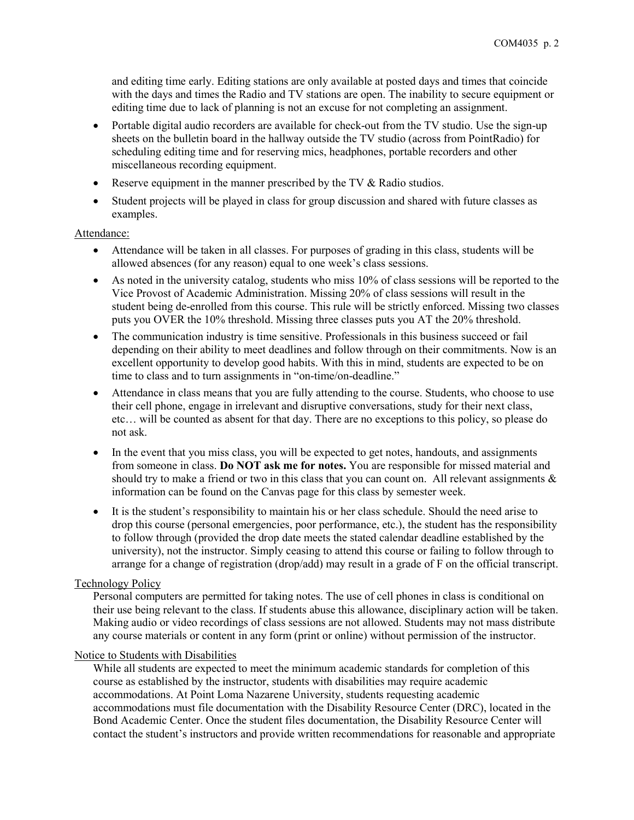and editing time early. Editing stations are only available at posted days and times that coincide with the days and times the Radio and TV stations are open. The inability to secure equipment or editing time due to lack of planning is not an excuse for not completing an assignment.

- Portable digital audio recorders are available for check-out from the TV studio. Use the sign-up sheets on the bulletin board in the hallway outside the TV studio (across from PointRadio) for scheduling editing time and for reserving mics, headphones, portable recorders and other miscellaneous recording equipment.
- Reserve equipment in the manner prescribed by the TV & Radio studios.
- Student projects will be played in class for group discussion and shared with future classes as examples.

# Attendance:

- Attendance will be taken in all classes. For purposes of grading in this class, students will be allowed absences (for any reason) equal to one week's class sessions.
- As noted in the university catalog, students who miss 10% of class sessions will be reported to the Vice Provost of Academic Administration. Missing 20% of class sessions will result in the student being de-enrolled from this course. This rule will be strictly enforced. Missing two classes puts you OVER the 10% threshold. Missing three classes puts you AT the 20% threshold.
- The communication industry is time sensitive. Professionals in this business succeed or fail depending on their ability to meet deadlines and follow through on their commitments. Now is an excellent opportunity to develop good habits. With this in mind, students are expected to be on time to class and to turn assignments in "on-time/on-deadline."
- Attendance in class means that you are fully attending to the course. Students, who choose to use their cell phone, engage in irrelevant and disruptive conversations, study for their next class, etc… will be counted as absent for that day. There are no exceptions to this policy, so please do not ask.
- In the event that you miss class, you will be expected to get notes, handouts, and assignments from someone in class. **Do NOT ask me for notes.** You are responsible for missed material and should try to make a friend or two in this class that you can count on. All relevant assignments  $\&$ information can be found on the Canvas page for this class by semester week.
- It is the student's responsibility to maintain his or her class schedule. Should the need arise to drop this course (personal emergencies, poor performance, etc.), the student has the responsibility to follow through (provided the drop date meets the stated calendar deadline established by the university), not the instructor. Simply ceasing to attend this course or failing to follow through to arrange for a change of registration (drop/add) may result in a grade of F on the official transcript.

# Technology Policy

Personal computers are permitted for taking notes. The use of cell phones in class is conditional on their use being relevant to the class. If students abuse this allowance, disciplinary action will be taken. Making audio or video recordings of class sessions are not allowed. Students may not mass distribute any course materials or content in any form (print or online) without permission of the instructor.

# Notice to Students with Disabilities

While all students are expected to meet the minimum academic standards for completion of this course as established by the instructor, students with disabilities may require academic accommodations. At Point Loma Nazarene University, students requesting academic accommodations must file documentation with the Disability Resource Center (DRC), located in the Bond Academic Center. Once the student files documentation, the Disability Resource Center will contact the student's instructors and provide written recommendations for reasonable and appropriate